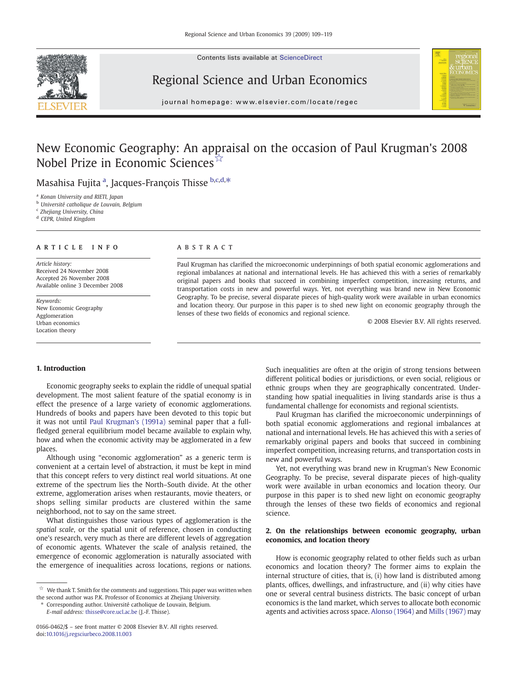Contents lists available at ScienceDirect



## Regional Science and Urban Economics



journal homepage: www.elsevier.com/locate/regec

# New Economic Geography: An appraisal on the occasion of Paul Krugman's 2008 Nobel Prize in Economic Sciences☆

Masahisa Fujita <sup>a</sup>, Jacques-François Thisse b.c.d.\*

<sup>a</sup> Konan University and RIETI, Japan

<sup>b</sup> Université catholique de Louvain, Belgium

<sup>c</sup> Zhejiang University, China

<sup>d</sup> CEPR, United Kingdom

#### article info abstract

Article history: Received 24 November 2008 Accepted 26 November 2008 Available online 3 December 2008

Keywords: New Economic Geography Agglomeration Urban economics Location theory

Paul Krugman has clarified the microeconomic underpinnings of both spatial economic agglomerations and regional imbalances at national and international levels. He has achieved this with a series of remarkably original papers and books that succeed in combining imperfect competition, increasing returns, and transportation costs in new and powerful ways. Yet, not everything was brand new in New Economic Geography. To be precise, several disparate pieces of high-quality work were available in urban economics and location theory. Our purpose in this paper is to shed new light on economic geography through the lenses of these two fields of economics and regional science.

© 2008 Elsevier B.V. All rights reserved.

#### 1. Introduction

Economic geography seeks to explain the riddle of unequal spatial development. The most salient feature of the spatial economy is in effect the presence of a large variety of economic agglomerations. Hundreds of books and papers have been devoted to this topic but it was not until [Paul Krugman's \(1991a\)](#page--1-0) seminal paper that a fullfledged general equilibrium model became available to explain why, how and when the economic activity may be agglomerated in a few places.

Although using "economic agglomeration" as a generic term is convenient at a certain level of abstraction, it must be kept in mind that this concept refers to very distinct real world situations. At one extreme of the spectrum lies the North–South divide. At the other extreme, agglomeration arises when restaurants, movie theaters, or shops selling similar products are clustered within the same neighborhood, not to say on the same street.

What distinguishes those various types of agglomeration is the spatial scale, or the spatial unit of reference, chosen in conducting one's research, very much as there are different levels of aggregation of economic agents. Whatever the scale of analysis retained, the emergence of economic agglomeration is naturally associated with the emergence of inequalities across locations, regions or nations.

 $^\star_\mathrm{r}~$  We thank T. Smith for the comments and suggestions. This paper was written when the second author was P.K. Professor of Economics at Zhejiang University.

⁎ Corresponding author. Université catholique de Louvain, Belgium. E-mail address: [thisse@core.ucl.ac.be](mailto:thisse@core.ucl.ac.be) (J.-F. Thisse).

Such inequalities are often at the origin of strong tensions between different political bodies or jurisdictions, or even social, religious or ethnic groups when they are geographically concentrated. Understanding how spatial inequalities in living standards arise is thus a fundamental challenge for economists and regional scientists.

Paul Krugman has clarified the microeconomic underpinnings of both spatial economic agglomerations and regional imbalances at national and international levels. He has achieved this with a series of remarkably original papers and books that succeed in combining imperfect competition, increasing returns, and transportation costs in new and powerful ways.

Yet, not everything was brand new in Krugman's New Economic Geography. To be precise, several disparate pieces of high-quality work were available in urban economics and location theory. Our purpose in this paper is to shed new light on economic geography through the lenses of these two fields of economics and regional science.

### 2. On the relationships between economic geography, urban economics, and location theory

How is economic geography related to other fields such as urban economics and location theory? The former aims to explain the internal structure of cities, that is, (i) how land is distributed among plants, offices, dwellings, and infrastructure, and (ii) why cities have one or several central business districts. The basic concept of urban economics is the land market, which serves to allocate both economic agents and activities across space. [Alonso \(1964\)](#page--1-0) and [Mills \(1967\)](#page--1-0) may

<sup>0166-0462/\$</sup> – see front matter © 2008 Elsevier B.V. All rights reserved. doi:[10.1016/j.regsciurbeco.2008.11.003](http://dx.doi.org/10.1016/j.regsciurbeco.2008.11.003)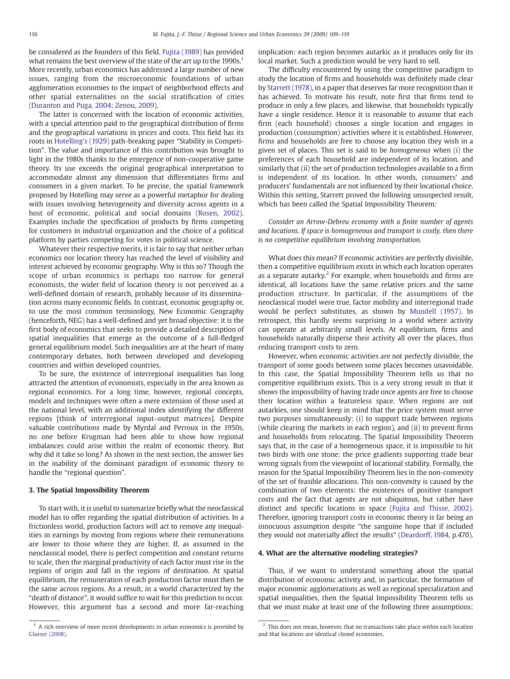be considered as the founders of this field. [Fujita \(1989\)](#page--1-0) has provided what remains the best overview of the state of the art up to the 1990s.<sup>1</sup> More recently, urban economics has addressed a large number of new issues, ranging from the microeconomic foundations of urban agglomeration economies to the impact of neighborhood effects and other spatial externalities on the social stratification of cities ([Duranton and Puga, 2004; Zenou, 2009](#page--1-0)).

The latter is concerned with the location of economic activities, with a special attention paid to the geographical distribution of firms and the geographical variations in prices and costs. This field has its roots in [Hotelling's \(1929\)](#page--1-0) path-breaking paper "Stability in Competition". The value and importance of this contribution was brought to light in the 1980s thanks to the emergence of non-cooperative game theory. Its use exceeds the original geographical interpretation to accommodate almost any dimension that differentiates firms and consumers in a given market. To be precise, the spatial framework proposed by Hotelling may serve as a powerful metaphor for dealing with issues involving heterogeneity and diversity across agents in a host of economic, political and social domains ([Rosen, 2002\)](#page--1-0). Examples include the specification of products by firms competing for customers in industrial organization and the choice of a political platform by parties competing for votes in political science.

Whatever their respective merits, it is fair to say that neither urban economics nor location theory has reached the level of visibility and interest achieved by economic geography. Why is this so? Though the scope of urban economics is perhaps too narrow for general economists, the wider field of location theory is not perceived as a well-defined domain of research, probably because of its dissemination across many economic fields. In contrast, economic geography or, to use the most common terminology, New Economic Geography (henceforth, NEG) has a well-defined and yet broad objective: it is the first body of economics that seeks to provide a detailed description of spatial inequalities that emerge as the outcome of a full-fledged general equilibrium model. Such inequalities are at the heart of many contemporary debates, both between developed and developing countries and within developed countries.

To be sure, the existence of interregional inequalities has long attracted the attention of economists, especially in the area known as regional economics. For a long time, however, regional concepts, models and techniques were often a mere extension of those used at the national level, with an additional index identifying the different regions [think of interregional input–output matrices]. Despite valuable contributions made by Myrdal and Perroux in the 1950s, no one before Krugman had been able to show how regional imbalances could arise within the realm of economic theory. But why did it take so long? As shown in the next section, the answer lies in the inability of the dominant paradigm of economic theory to handle the "regional question".

#### 3. The Spatial Impossibility Theorem

To start with, it is useful to summarize briefly what the neoclassical model has to offer regarding the spatial distribution of activities. In a frictionless world, production factors will act to remove any inequalities in earnings by moving from regions where their remunerations are lower to those where they are higher. If, as assumed in the neoclassical model, there is perfect competition and constant returns to scale, then the marginal productivity of each factor must rise in the regions of origin and fall in the regions of destination. At spatial equilibrium, the remuneration of each production factor must then be the same across regions. As a result, in a world characterized by the "death of distance", it would suffice to wait for this prediction to occur. However, this argument has a second and more far-reaching implication: each region becomes autarkic as it produces only for its local market. Such a prediction would be very hard to sell.

The difficulty encountered by using the competitive paradigm to study the location of firms and households was definitely made clear by [Starrett \(1978\)](#page--1-0), in a paper that deserves far more recognition than it has achieved. To motivate his result, note first that firms tend to produce in only a few places, and likewise, that households typically have a single residence. Hence it is reasonable to assume that each firm (each household) chooses a single location and engages in production (consumption) activities where it is established. However, firms and households are free to choose any location they wish in a given set of places. This set is said to be homogeneous when (i) the preferences of each household are independent of its location, and similarly that (ii) the set of production technologies available to a firm is independent of its location. In other words, consumers' and producers' fundamentals are not influenced by their locational choice. Within this setting, Starrett proved the following unsuspected result, which has been called the Spatial Impossibility Theorem:

Consider an Arrow-Debreu economy with a finite number of agents and locations. If space is homogeneous and transport is costly, then there is no competitive equilibrium involving transportation.

What does this mean? If economic activities are perfectly divisible, then a competitive equilibrium exists in which each location operates as a separate autarky.<sup>2</sup> For example, when households and firms are identical, all locations have the same relative prices and the same production structure. In particular, if the assumptions of the neoclassical model were true, factor mobility and interregional trade would be perfect substitutes, as shown by [Mundell \(1957\)](#page--1-0). In retrospect, this hardly seems surprising in a world where activity can operate at arbitrarily small levels. At equilibrium, firms and households naturally disperse their activity all over the places, thus reducing transport costs to zero.

However, when economic activities are not perfectly divisible, the transport of some goods between some places becomes unavoidable. In this case, the Spatial Impossibility Theorem tells us that no competitive equilibrium exists. This is a very strong result in that it shows the impossibility of having trade once agents are free to choose their location within a featureless space. When regions are not autarkies, one should keep in mind that the price system must serve two purposes simultaneously: (i) to support trade between regions (while clearing the markets in each region), and (ii) to prevent firms and households from relocating. The Spatial Impossibility Theorem says that, in the case of a homogeneous space, it is impossible to hit two birds with one stone: the price gradients supporting trade bear wrong signals from the viewpoint of locational stability. Formally, the reason for the Spatial Impossibility Theorem lies in the non-convexity of the set of feasible allocations. This non-convexity is caused by the combination of two elements: the existences of positive transport costs and the fact that agents are not ubiquitous, but rather have distinct and specific locations in space [\(Fujita and Thisse, 2002](#page--1-0)). Therefore, ignoring transport costs in economic theory is far being an innocuous assumption despite "the sanguine hope that if included they would not materially affect the results" [\(Deardorff, 1984](#page--1-0), p.470).

#### 4. What are the alternative modeling strategies?

Thus, if we want to understand something about the spatial distribution of economic activity and, in particular, the formation of major economic agglomerations as well as regional specialization and spatial inequalities, then the Spatial Impossibility Theorem tells us that we must make at least one of the following three assumptions:

 $1$  A rich overview of more recent developments in urban economics is provided by [Glaeser \(2008\).](#page--1-0)

 $2$  This does not mean, however, that no transactions take place within each location and that locations are identical closed economies.